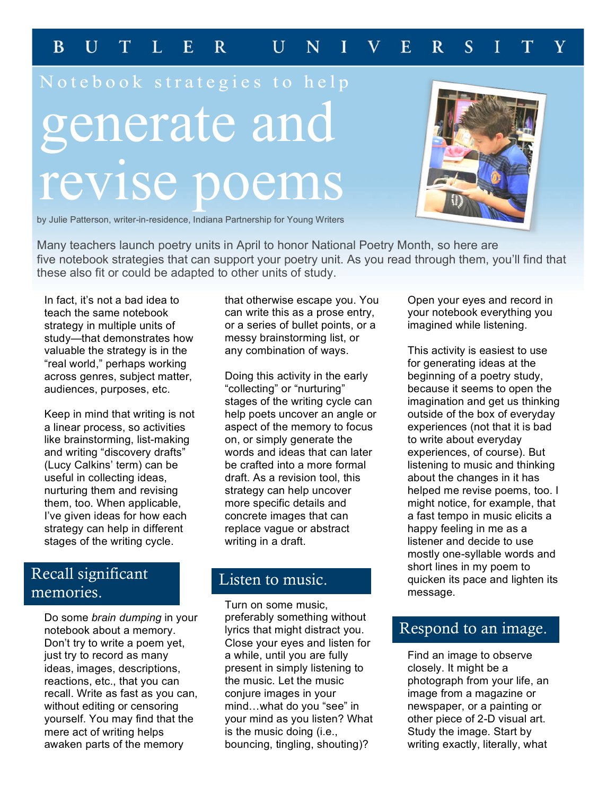#### $\mathbf{F}$  $\overline{B}$  $\mathbf{U}$  $\mathbf T$  $\mathbf{L}$  $\mathbf{R}$  $\overline{U}$ N  $\mathbf{E}$  $\mathbf{R}$  $\overline{S}$ T

# Notebook strategies to help generate and revise poems



by Julie Patterson, writer-in-residence, Indiana Partnership for Young Writers

Many teachers launch poetry units in April to honor National Poetry Month, so here are five notebook strategies that can support your poetry unit. As you read through them, you'll find that these also fit or could be adapted to other units of study.

In fact, it's not a bad idea to teach the same notebook strategy in multiple units of study—that demonstrates how valuable the strategy is in the "real world," perhaps working across genres, subject matter, audiences, purposes, etc.

Keep in mind that writing is not a linear process, so activities like brainstorming, list-making and writing "discovery drafts" (Lucy Calkins' term) can be useful in collecting ideas, nurturing them and revising them, too. When applicable, I've given ideas for how each strategy can help in different stages of the writing cycle.

# Recall significant memories.

Do some *brain dumping* in your notebook about a memory. Don't try to write a poem yet, just try to record as many ideas, images, descriptions, reactions, etc., that you can recall. Write as fast as you can, without editing or censoring yourself. You may find that the mere act of writing helps awaken parts of the memory

that otherwise escape you. You can write this as a prose entry, or a series of bullet points, or a messy brainstorming list, or any combination of ways.

Doing this activity in the early "collecting" or "nurturing" stages of the writing cycle can help poets uncover an angle or aspect of the memory to focus on, or simply generate the words and ideas that can later be crafted into a more formal draft. As a revision tool, this strategy can help uncover more specific details and concrete images that can replace vague or abstract writing in a draft.

## Listen to music.

Turn on some music, preferably something without lyrics that might distract you. Close your eyes and listen for a while, until you are fully present in simply listening to the music. Let the music conjure images in your mind…what do you "see" in your mind as you listen? What is the music doing (i.e., bouncing, tingling, shouting)?

Open your eyes and record in your notebook everything you imagined while listening.

This activity is easiest to use for generating ideas at the beginning of a poetry study, because it seems to open the imagination and get us thinking outside of the box of everyday experiences (not that it is bad to write about everyday experiences, of course). But listening to music and thinking about the changes in it has helped me revise poems, too. I might notice, for example, that a fast tempo in music elicits a happy feeling in me as a listener and decide to use mostly one-syllable words and short lines in my poem to quicken its pace and lighten its message.

## Respond to an image.

Find an image to observe closely. It might be a photograph from your life, an image from a magazine or newspaper, or a painting or other piece of 2-D visual art. Study the image. Start by writing exactly, literally, what